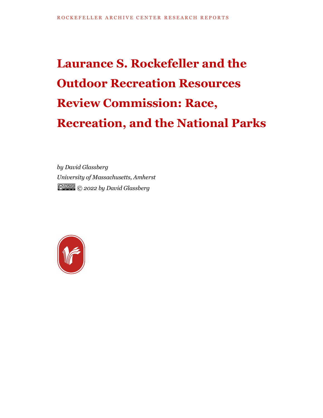# **Laurance S. Rockefeller and the Outdoor Recreation Resources Review Commission: Race, Recreation, and the National Parks**

*by David Glassberg University of Massachusetts, Amherst © 2022 by David Glassberg*

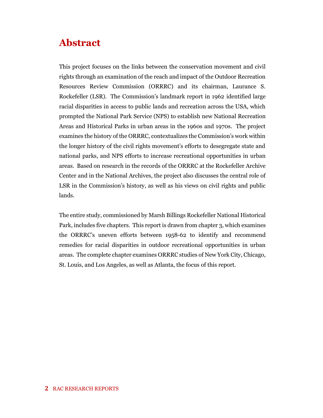# **Abstract**

This project focuses on the links between the conservation movement and civil rights through an examination of the reach and impact of the Outdoor Recreation Resources Review Commission (ORRRC) and its chairman, Laurance S. Rockefeller (LSR). The Commission's landmark report in 1962 identified large racial disparities in access to public lands and recreation across the USA, which prompted the National Park Service (NPS) to establish new National Recreation Areas and Historical Parks in urban areas in the 1960s and 1970s. The project examines the history of the ORRRC, contextualizes the Commission's work within the longer history of the civil rights movement's efforts to desegregate state and national parks, and NPS efforts to increase recreational opportunities in urban areas. Based on research in the records of the ORRRC at the Rockefeller Archive Center and in the National Archives, the project also discusses the central role of LSR in the Commission's history, as well as his views on civil rights and public lands.

The entire study, commissioned by Marsh Billings Rockefeller National Historical Park, includes five chapters. This report is drawn from chapter 3, which examines the ORRRC's uneven efforts between 1958-62 to identify and recommend remedies for racial disparities in outdoor recreational opportunities in urban areas. The complete chapter examines ORRRC studies of New York City, Chicago, St. Louis, and Los Angeles, as well as Atlanta, the focus of this report.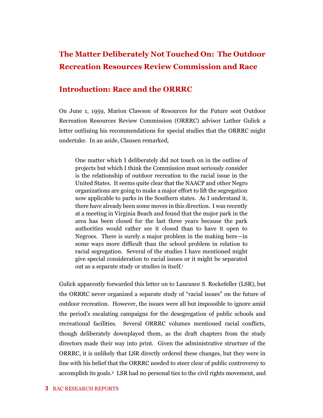## **The Matter Deliberately Not Touched On: The Outdoor Recreation Resources Review Commission and Race**

#### **Introduction: Race and the ORRRC**

On June 1, 1959, Marion Clawson of Resources for the Future sent Outdoor Recreation Resources Review Commission (ORRRC) advisor Luther Gulick a letter outlining his recommendations for special studies that the ORRRC might undertake. In an aside, Clausen remarked,

One matter which I deliberately did not touch on in the outline of projects but which I think the Commission must seriously consider is the relationship of outdoor recreation to the racial issue in the United States. It seems quite clear that the NAACP and other Negro organizations are going to make a major effort to lift the segregation now applicable to parks in the Southern states. As I understand it, there have already been some moves in this direction. I was recently at a meeting in Virginia Beach and found that the major park in the area has been closed for the last three years because the park authorities would rather see it closed than to have it open to Negroes. There is surely a major problem in the making here—in some ways more difficult than the school problem in relation to racial segregation. Several of the studies I have mentioned might give special consideration to racial issues or it might be separated out as a separate study or studies in itself.<sup>1</sup>

Gulick apparently forwarded this letter on to Laurance S. Rockefeller (LSR), but the ORRRC never organized a separate study of "racial issues" on the future of outdoor recreation. However, the issues were all but impossible to ignore amid the period's escalating campaigns for the desegregation of public schools and recreational facilities. Several ORRRC volumes mentioned racial conflicts, though deliberately downplayed them, as the draft chapters from the study directors made their way into print. Given the administrative structure of the ORRRC, it is unlikely that LSR directly ordered these changes, but they were in line with his belief that the ORRRC needed to steer clear of public controversy to accomplish its goals.<sup>2</sup> LSR had no personal ties to the civil rights movement, and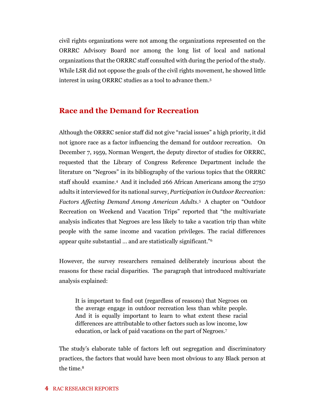civil rights organizations were not among the organizations represented on the ORRRC Advisory Board nor among the long list of local and national organizations that the ORRRC staff consulted with during the period of the study. While LSR did not oppose the goals of the civil rights movement, he showed little interest in using ORRRC studies as a tool to advance them.<sup>3</sup>

#### **Race and the Demand for Recreation**

Although the ORRRC senior staff did not give "racial issues" a high priority, it did not ignore race as a factor influencing the demand for outdoor recreation. On December 7, 1959, Norman Wengert, the deputy director of studies for ORRRC, requested that the Library of Congress Reference Department include the literature on "Negroes" in its bibliography of the various topics that the ORRRC staff should examine.<sup>4</sup> And it included 266 African Americans among the 2750 adults it interviewed for its national survey, *Participation in Outdoor Recreation: Factors Affecting Demand Among American Adults*. 5 A chapter on "Outdoor Recreation on Weekend and Vacation Trips" reported that "the multivariate analysis indicates that Negroes are less likely to take a vacation trip than white people with the same income and vacation privileges. The racial differences appear quite substantial … and are statistically significant."<sup>6</sup>

However, the survey researchers remained deliberately incurious about the reasons for these racial disparities. The paragraph that introduced multivariate analysis explained:

It is important to find out (regardless of reasons) that Negroes on the average engage in outdoor recreation less than white people. And it is equally important to learn to what extent these racial differences are attributable to other factors such as low income, low education, or lack of paid vacations on the part of Negroes.<sup>7</sup>

The study's elaborate table of factors left out segregation and discriminatory practices, the factors that would have been most obvious to any Black person at the time.<sup>8</sup>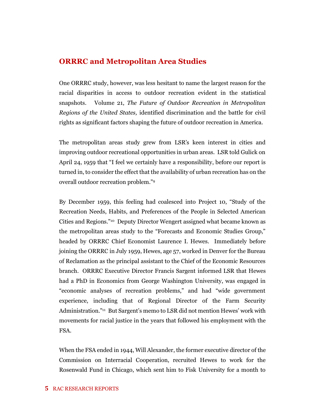#### **ORRRC and Metropolitan Area Studies**

One ORRRC study, however, was less hesitant to name the largest reason for the racial disparities in access to outdoor recreation evident in the statistical snapshots. Volume 21, *The Future of Outdoor Recreation in Metropolitan Regions of the United States,* identified discrimination and the battle for civil rights as significant factors shaping the future of outdoor recreation in America.

The metropolitan areas study grew from LSR's keen interest in cities and improving outdoor recreational opportunities in urban areas. LSR told Gulick on April 24, 1959 that "I feel we certainly have a responsibility, before our report is turned in, to consider the effect that the availability of urban recreation has on the overall outdoor recreation problem."<sup>9</sup>

By December 1959, this feeling had coalesced into Project 10, "Study of the Recreation Needs, Habits, and Preferences of the People in Selected American Cities and Regions."10 Deputy Director Wengert assigned what became known as the metropolitan areas study to the "Forecasts and Economic Studies Group," headed by ORRRC Chief Economist Laurence I. Hewes. Immediately before joining the ORRRC in July 1959, Hewes, age 57, worked in Denver for the Bureau of Reclamation as the principal assistant to the Chief of the Economic Resources branch. ORRRC Executive Director Francis Sargent informed LSR that Hewes had a PhD in Economics from George Washington University, was engaged in "economic analyses of recreation problems," and had "wide government experience, including that of Regional Director of the Farm Security Administration."<sup>11</sup> But Sargent's memo to LSR did not mention Hewes' work with movements for racial justice in the years that followed his employment with the FSA.

When the FSA ended in 1944, Will Alexander, the former executive director of the Commission on Interracial Cooperation, recruited Hewes to work for the Rosenwald Fund in Chicago, which sent him to Fisk University for a month to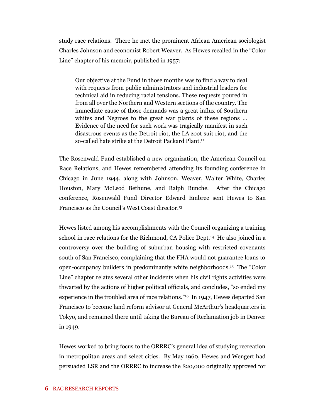study race relations. There he met the prominent African American sociologist Charles Johnson and economist Robert Weaver. As Hewes recalled in the "Color Line" chapter of his memoir, published in 1957:

Our objective at the Fund in those months was to find a way to deal with requests from public administrators and industrial leaders for technical aid in reducing racial tensions. These requests poured in from all over the Northern and Western sections of the country. The immediate cause of those demands was a great influx of Southern whites and Negroes to the great war plants of these regions … Evidence of the need for such work was tragically manifest in such disastrous events as the Detroit riot, the LA zoot suit riot, and the so-called hate strike at the Detroit Packard Plant.<sup>12</sup>

The Rosenwald Fund established a new organization, the American Council on Race Relations, and Hewes remembered attending its founding conference in Chicago in June 1944, along with Johnson, Weaver, Walter White, Charles Houston, Mary McLeod Bethune, and Ralph Bunche. After the Chicago conference, Rosenwald Fund Director Edward Embree sent Hewes to San Francisco as the Council's West Coast director. 13

Hewes listed among his accomplishments with the Council organizing a training school in race relations for the Richmond, CA Police Dept.<sup>14</sup> He also joined in a controversy over the building of suburban housing with restricted covenants south of San Francisco, complaining that the FHA would not guarantee loans to open-occupancy builders in predominantly white neighborhoods.<sup>15</sup> The "Color Line" chapter relates several other incidents when his civil rights activities were thwarted by the actions of higher political officials, and concludes, "so ended my experience in the troubled area of race relations."<sup>16</sup> In 1947, Hewes departed San Francisco to become land reform advisor at General McArthur's headquarters in Tokyo, and remained there until taking the Bureau of Reclamation job in Denver in 1949.

Hewes worked to bring focus to the ORRRC's general idea of studying recreation in metropolitan areas and select cities. By May 1960, Hewes and Wengert had persuaded LSR and the ORRRC to increase the \$20,000 originally approved for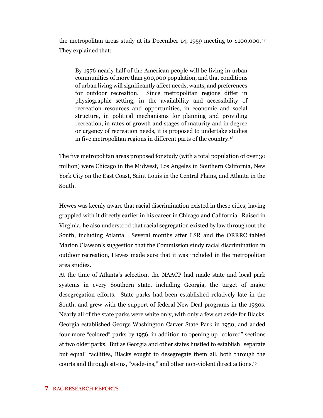the metropolitan areas study at its December 14, 1959 meeting to \$100,000. <sup>17</sup> They explained that:

By 1976 nearly half of the American people will be living in urban communities of more than 500,000 population, and that conditions of urban living will significantly affect needs, wants, and preferences for outdoor recreation. Since metropolitan regions differ in physiographic setting, in the availability and accessibility of recreation resources and opportunities, in economic and social structure, in political mechanisms for planning and providing recreation, in rates of growth and stages of maturity and in degree or urgency of recreation needs, it is proposed to undertake studies in five metropolitan regions in different parts of the country.<sup>18</sup>

The five metropolitan areas proposed for study (with a total population of over 30 million) were Chicago in the Midwest, Los Angeles in Southern California, New York City on the East Coast, Saint Louis in the Central Plains, and Atlanta in the South.

Hewes was keenly aware that racial discrimination existed in these cities, having grappled with it directly earlier in his career in Chicago and California. Raised in Virginia, he also understood that racial segregation existed by law throughout the South, including Atlanta. Several months after LSR and the ORRRC tabled Marion Clawson's suggestion that the Commission study racial discrimination in outdoor recreation, Hewes made sure that it was included in the metropolitan area studies.

At the time of Atlanta's selection, the NAACP had made state and local park systems in every Southern state, including Georgia, the target of major desegregation efforts. State parks had been established relatively late in the South, and grew with the support of federal New Deal programs in the 1930s. Nearly all of the state parks were white only, with only a few set aside for Blacks. Georgia established George Washington Carver State Park in 1950, and added four more "colored" parks by 1956, in addition to opening up "colored" sections at two older parks. But as Georgia and other states hustled to establish "separate but equal" facilities, Blacks sought to desegregate them all, both through the courts and through sit-ins, "wade-ins," and other non-violent direct actions.<sup>19</sup>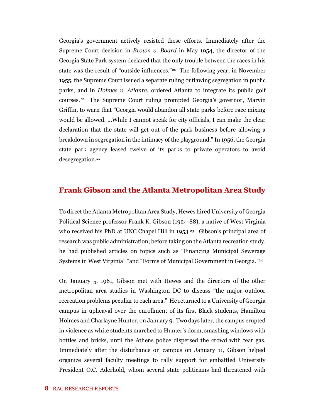Georgia's government actively resisted these efforts. Immediately after the Supreme Court decision in *Brown v. Board* in May 1954, the director of the Georgia State Park system declared that the only trouble between the races in his state was the result of "outside influences."20 The following year, in November 1955, the Supreme Court issued a separate ruling outlawing segregation in public parks, and in *Holmes v. Atlanta*, ordered Atlanta to integrate its public golf courses. <sup>21</sup> The Supreme Court ruling prompted Georgia's governor, Marvin Griffin, to warn that "Georgia would abandon all state parks before race mixing would be allowed. …While I cannot speak for city officials, I can make the clear declaration that the state will get out of the park business before allowing a breakdown in segregation in the intimacy of the playground." In 1956, the Georgia state park agency leased twelve of its parks to private operators to avoid desegregation.<sup>22</sup>

#### **Frank Gibson and the Atlanta Metropolitan Area Study**

To direct the Atlanta Metropolitan Area Study, Hewes hired University of Georgia Political Science professor Frank K. Gibson (1924-88), a native of West Virginia who received his PhD at UNC Chapel Hill in 1953.<sup>23</sup> Gibson's principal area of research was public administration; before taking on the Atlanta recreation study, he had published articles on topics such as "Financing Municipal Sewerage Systems in West Virginia" "and "Forms of Municipal Government in Georgia."<sup>24</sup>

On January 5, 1961, Gibson met with Hewes and the directors of the other metropolitan area studies in Washington DC to discuss "the major outdoor recreation problems peculiar to each area." He returned to a University of Georgia campus in upheaval over the enrollment of its first Black students, Hamilton Holmes and Charlayne Hunter, on January 9. Two days later, the campus erupted in violence as white students marched to Hunter's dorm, smashing windows with bottles and bricks, until the Athens police dispersed the crowd with tear gas. Immediately after the disturbance on campus on January 11, Gibson helped organize several faculty meetings to rally support for embattled University President O.C. Aderhold, whom several state politicians had threatened with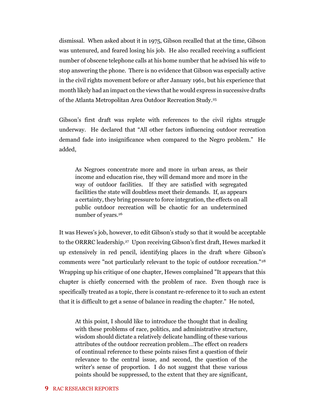dismissal. When asked about it in 1975, Gibson recalled that at the time, Gibson was untenured, and feared losing his job. He also recalled receiving a sufficient number of obscene telephone calls at his home number that he advised his wife to stop answering the phone. There is no evidence that Gibson was especially active in the civil rights movement before or after January 1961, but his experience that month likely had an impact on the views that he would express in successive drafts of the Atlanta Metropolitan Area Outdoor Recreation Study.<sup>25</sup>

Gibson's first draft was replete with references to the civil rights struggle underway. He declared that "All other factors influencing outdoor recreation demand fade into insignificance when compared to the Negro problem." He added,

As Negroes concentrate more and more in urban areas, as their income and education rise, they will demand more and more in the way of outdoor facilities. If they are satisfied with segregated facilities the state will doubtless meet their demands. If, as appears a certainty, they bring pressure to force integration, the effects on all public outdoor recreation will be chaotic for an undetermined number of years.<sup>26</sup>

It was Hewes's job, however, to edit Gibson's study so that it would be acceptable to the ORRRC leadership.<sup>27</sup> Upon receiving Gibson's first draft, Hewes marked it up extensively in red pencil, identifying places in the draft where Gibson's comments were "not particularly relevant to the topic of outdoor recreation."<sup>28</sup> Wrapping up his critique of one chapter, Hewes complained "It appears that this chapter is chiefly concerned with the problem of race. Even though race is specifically treated as a topic, there is constant re-reference to it to such an extent that it is difficult to get a sense of balance in reading the chapter." He noted,

At this point, I should like to introduce the thought that in dealing with these problems of race, politics, and administrative structure, wisdom should dictate a relatively delicate handling of these various attributes of the outdoor recreation problem…The effect on readers of continual reference to these points raises first a question of their relevance to the central issue, and second, the question of the writer's sense of proportion. I do not suggest that these various points should be suppressed, to the extent that they are significant,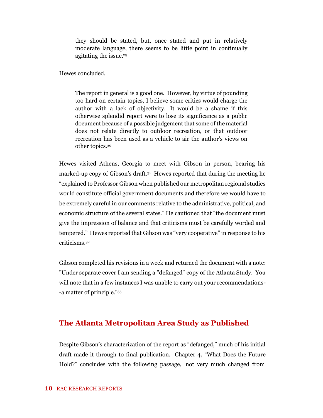they should be stated, but, once stated and put in relatively moderate language, there seems to be little point in continually agitating the issue.<sup>29</sup>

Hewes concluded,

The report in general is a good one. However, by virtue of pounding too hard on certain topics, I believe some critics would charge the author with a lack of objectivity. It would be a shame if this otherwise splendid report were to lose its significance as a public document because of a possible judgement that some of the material does not relate directly to outdoor recreation, or that outdoor recreation has been used as a vehicle to air the author's views on other topics.<sup>30</sup>

Hewes visited Athens, Georgia to meet with Gibson in person, bearing his marked-up copy of Gibson's draft.<sup>31</sup> Hewes reported that during the meeting he "explained to Professor Gibson when published our metropolitan regional studies would constitute official government documents and therefore we would have to be extremely careful in our comments relative to the administrative, political, and economic structure of the several states." He cautioned that "the document must give the impression of balance and that criticisms must be carefully worded and tempered." Hewes reported that Gibson was "very cooperative" in response to his criticisms.<sup>32</sup>

Gibson completed his revisions in a week and returned the document with a note: "Under separate cover I am sending a "defanged" copy of the Atlanta Study. You will note that in a few instances I was unable to carry out your recommendations- -a matter of principle."<sup>33</sup>

## **The Atlanta Metropolitan Area Study as Published**

Despite Gibson's characterization of the report as "defanged," much of his initial draft made it through to final publication. Chapter 4, "What Does the Future Hold?" concludes with the following passage, not very much changed from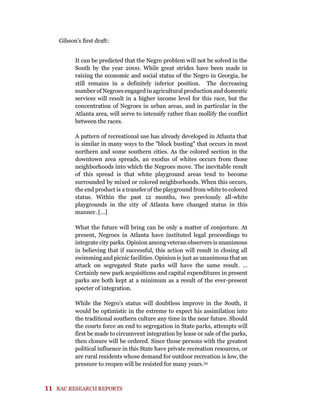Gibson's first draft:

It can be predicted that the Negro problem will not be solved in the South by the year 2000. While great strides have been made in raising the economic and social status of the Negro in Georgia, he still remains in a definitely inferior position. The decreasing number of Negroes engaged in agricultural production and domestic services will result in a higher income level for this race, but the concentration of Negroes in urban areas, and in particular in the Atlanta area, will serve to intensify rather than mollify the conflict between the races.

A pattern of recreational use has already developed in Atlanta that is similar in many ways to the "block busting" that occurs in most northern and some southern cities. As the colored section in the downtown area spreads, an exodus of whites occurs from those neighborhoods into which the Negroes move. The inevitable result of this spread is that white playground areas tend to become surrounded by mixed or colored neighborhoods. When this occurs, the end product is a transfer of the playground from white to colored status. Within the past 12 months, two previously all-white playgrounds in the city of Atlanta have changed status in this manner. […]

What the future will bring can be only a matter of conjecture. At present, Negroes in Atlanta have instituted legal proceedings to integrate city parks. Opinion among veteran observers is unanimous in believing that if successful, this action will result in closing all swimming and picnic facilities. Opinion is just as unanimous that an attack on segregated State parks will have the same result. … Certainly new park acquisitions and capital expenditures in present parks are both kept at a minimum as a result of the ever-present specter of integration.

While the Negro's status will doubtless improve in the South, it would be optimistic in the extreme to expect his assimilation into the traditional southern culture any time in the near future. Should the courts force an end to segregation in State parks, attempts will first be made to circumvent integration by lease or sale of the parks, then closure will be ordered. Since those persons with the greatest political influence in this State have private recreation resources, or are rural residents whose demand for outdoor recreation is low, the pressure to reopen will be resisted for many years.34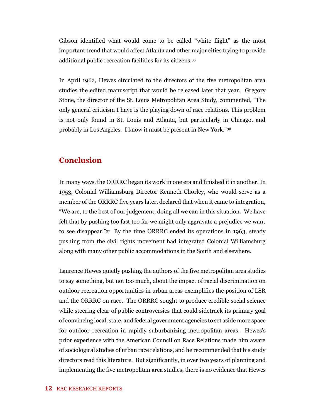Gibson identified what would come to be called "white flight" as the most important trend that would affect Atlanta and other major cities trying to provide additional public recreation facilities for its citizens.<sup>35</sup>

In April 1962, Hewes circulated to the directors of the five metropolitan area studies the edited manuscript that would be released later that year. Gregory Stone, the director of the St. Louis Metropolitan Area Study, commented, "The only general criticism I have is the playing down of race relations. This problem is not only found in St. Louis and Atlanta, but particularly in Chicago, and probably in Los Angeles. I know it must be present in New York."<sup>36</sup>

### **Conclusion**

In many ways, the ORRRC began its work in one era and finished it in another. In 1953, Colonial Williamsburg Director Kenneth Chorley, who would serve as a member of the ORRRC five years later, declared that when it came to integration, "We are, to the best of our judgement, doing all we can in this situation. We have felt that by pushing too fast too far we might only aggravate a prejudice we want to see disappear."<sup>37</sup> By the time ORRRC ended its operations in 1963, steady pushing from the civil rights movement had integrated Colonial Williamsburg along with many other public accommodations in the South and elsewhere.

Laurence Hewes quietly pushing the authors of the five metropolitan area studies to say something, but not too much, about the impact of racial discrimination on outdoor recreation opportunities in urban areas exemplifies the position of LSR and the ORRRC on race. The ORRRC sought to produce credible social science while steering clear of public controversies that could sidetrack its primary goal of convincing local, state, and federal government agencies to set aside more space for outdoor recreation in rapidly suburbanizing metropolitan areas. Hewes's prior experience with the American Council on Race Relations made him aware of sociological studies of urban race relations, and he recommended that his study directors read this literature. But significantly, in over two years of planning and implementing the five metropolitan area studies, there is no evidence that Hewes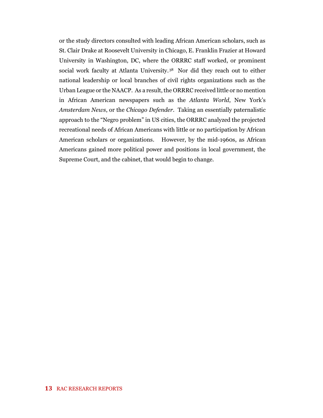or the study directors consulted with leading African American scholars, such as St. Clair Drake at Roosevelt University in Chicago, E. Franklin Frazier at Howard University in Washington, DC, where the ORRRC staff worked, or prominent social work faculty at Atlanta University.<sup>38</sup> Nor did they reach out to either national leadership or local branches of civil rights organizations such as the Urban League or the NAACP. As a result, the ORRRC received little or no mention in African American newspapers such as the *Atlanta World*, New York's *Amsterdam News*, or the *Chicago Defender*. Taking an essentially paternalistic approach to the "Negro problem" in US cities, the ORRRC analyzed the projected recreational needs of African Americans with little or no participation by African American scholars or organizations. However, by the mid-1960s, as African Americans gained more political power and positions in local government, the Supreme Court, and the cabinet, that would begin to change.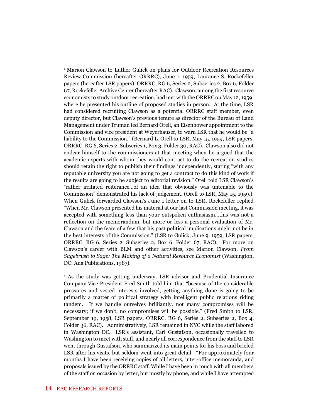<sup>1</sup> Marion Clawson to Luther Gulick on plans for Outdoor Recreation Resources Review Commission (hereafter ORRRC), June 1, 1959, Laurance S. Rockefeller papers (hereafter LSR papers), ORRRC, RG 6, Series 2, Subseries 2, Box 6, Folder 67, Rockefeller Archive Center (hereafter RAC). Clawson, among the first resource economists to study outdoor recreation, had met with the ORRRC on May 12, 1959, where he presented his outline of proposed studies in person. At the time, LSR had considered recruiting Clawson as a potential ORRRC staff member, even deputy director, but Clawson's previous tenure as director of the Bureau of Land Management under Truman led Bernard Orell, an Eisenhower appointment to the Commission and vice president at Weyerhauser, to warn LSR that he would be "a liability to the Commission." (Bernard L. Orell to LSR, May 15, 1959, LSR papers, ORRRC, RG 6, Series 2, Subseries 1, Box 3, Folder 30, RAC). Clawson also did not endear himself to the commissioners at that meeting when he argued that the academic experts with whom they would contract to do the recreation studies should retain the right to publish their findings independently, stating "with any reputable university you are not going to get a contract to do this kind of work if the results are going to be subject to editorial revision." Orell told LSR Clawson's "rather irritated reiterance…of an idea that obviously was untenable to the Commission" demonstrated his lack of judgement. (Orell to LSR, May 15, 1959.). When Gulick forwarded Clawson's June 1 letter on to LSR, Rockefeller replied "When Mr. Clawson presented his material at our last Commission meeting, it was accepted with something less than your outspoken enthusiasm…this was not a reflection on the memorandum, but more or less a personal evaluation of Mr. Clawson and the fears of a few that his past political implications might not be in the best interests of the Commission." (LSR to Gulick, June 9. 1959, LSR papers, ORRRC, RG 6, Series 2, Subseries 2, Box 6, Folder 67, RAC). For more on Clawson's career with BLM and other activities, see Marion Clawson, *From Sagebrush to Sage: The Making of a Natural Resource Economist* (Washington, DC: Ana Publications, 1987).

<sup>2</sup> As the study was getting underway, LSR advisor and Prudential Insurance Company Vice President Fred Smith told him that "because of the considerable pressures and vested interests involved, getting anything done is going to be primarily a matter of political strategy with intelligent public relations riding tandem. If we handle ourselves brilliantly, not many compromises will be necessary; if we don't, no compromises will be possible." (Fred Smith to LSR, September 19, 1958, LSR papers, ORRRC, RG 6, Series 2, Subseries 2, Box 4, Folder 36, RAC). Administratively, LSR remained in NYC while the staff labored in Washington DC. LSR's assistant, Carl Gustafson, occasionally travelled to Washington to meet with staff, and nearly all correspondence from the staff to LSR went through Gustafson, who summarized its main points for his boss and briefed LSR after his visits, but seldom went into great detail. "For approximately four months I have been receiving copies of all letters, inter-office memoranda, and proposals issued by the ORRRC staff. While I have been in touch with all members of the staff on occasion by letter, but mostly by phone, and while I have attempted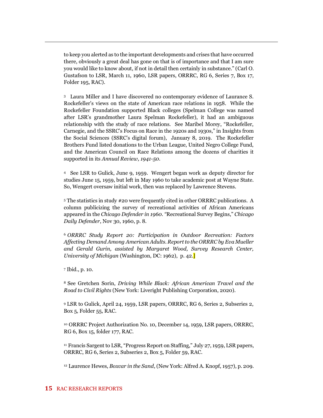to keep you alerted as to the important developments and crises that have occurred there, obviously a great deal has gone on that is of importance and that I am sure you would like to know about, if not in detail then certainly in substance." (Carl O. Gustafson to LSR, March 11, 1960, LSR papers, ORRRC, RG 6, Series 7, Box 17, Folder 195, RAC).

<sup>3</sup> Laura Miller and I have discovered no contemporary evidence of Laurance S. Rockefeller's views on the state of American race relations in 1958. While the Rockefeller Foundation supported Black colleges (Spelman College was named after LSR's grandmother Laura Spelman Rockefeller), it had an ambiguous relationship with the study of race relations. See Maribel Morey, "Rockefeller, Carnegie, and the SSRC's Focus on Race in the 1920s and 1930s," in Insights from the Social Sciences (SSRC's digital forum), January 8, 2019. The Rockefeller Brothers Fund listed donations to the Urban League, United Negro College Fund, and the American Council on Race Relations among the dozens of charities it supported in its *Annual Review, 1941-50.* 

<sup>4</sup> See LSR to Gulick, June 9, 1959. Wengert began work as deputy director for studies June 15, 1959, but left in May 1960 to take academic post at Wayne State. So, Wengert oversaw initial work, then was replaced by Lawrence Stevens.

<sup>5</sup> The statistics in study #20 were frequently cited in other ORRRC publications. A column publicizing the survey of recreational activities of African Americans appeared in the *Chicago Defender in 1960. "*Recreational Survey Begins," *Chicago Daily Defender*, Nov 30, 1960, p. 8.

<sup>6</sup> *ORRRC Study Report 20: Participation in Outdoor Recreation: Factors Affecting Demand Among American Adults. Report to the ORRRC by Eva Mueller and Gerald Gurin, assisted by Margaret Wood, Survey Research Center, University of Michigan* (Washington, DC: 1962), p. 42.<sup>1</sup>

<sup>7</sup> Ibid., p. 10.

<sup>8</sup> See Gretchen Sorin, *Driving While Black: African American Travel and the Road to Civil Rights* (New York: Liveright Publishing Corporation, 2020).

<sup>9</sup> LSR to Gulick, April 24, 1959, LSR papers, ORRRC, RG 6, Series 2, Subseries 2, Box 5, Folder 55, RAC.

<sup>10</sup> ORRRC Project Authorization No. 10, December 14, 1959, LSR papers, ORRRC, RG 6, Box 15, folder 177, RAC.

<sup>11</sup> Francis Sargent to LSR, "Progress Report on Staffing," July 27, 1959, LSR papers, ORRRC, RG 6, Series 2, Subseries 2, Box 5, Folder 59, RAC.

<sup>12</sup> Laurence Hewes, *Boxcar in the Sand*, (New York: Alfred A. Knopf, 1957), p. 209.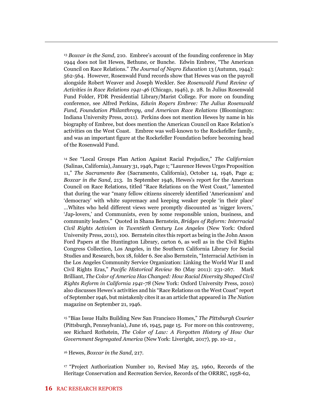<sup>13</sup> *Boxcar in the Sand*, 210. Embree's account of the founding conference in May 1944 does not list Hewes, Bethune, or Bunche. Edwin Embree, "The American Council on Race Relations." *The Journal of Negro Education* 13 (Autumn, 1944): 562-564. However, Rosenwald Fund records show that Hewes was on the payroll alongside Robert Weaver and Joseph Weckler. See *Rosenwald Fund Review of Activities in Race Relations 1941-46* (Chicago, 1946), p. 28. In Julius Rosenwald Fund Folder, FDR Presidential Library/Marist College. For more on founding conference, see Alfred Perkins, *Edwin Rogers Embree: The Julius Rosenwald Fund, Foundation Philanthropy, and American Race Relations* (Bloomington: Indiana University Press, 2011). Perkins does not mention Hewes by name in his biography of Embree, but does mention the American Council on Race Relation's activities on the West Coast. Embree was well-known to the Rockefeller family, and was an important figure at the Rockefeller Foundation before becoming head of the Rosenwald Fund.

<sup>14</sup> See "Local Groups Plan Action Against Racial Prejudice," *The Californian* (Salinas, California), January 31, 1946, Page 1; "Laurence Hewes Urges Proposition 11," *The Sacramento Bee* (Sacramento, California), October 14, 1946, Page 4; *Boxcar in the Sand*, 213. In September 1946, Hewes's report for the American Council on Race Relations, titled "Race Relations on the West Coast*,"* lamented that during the war "many fellow citizens sincerely identified 'Americanism' and 'democracy' with white supremacy and keeping weaker people 'in their place' …Whites who held different views were promptly discounted as 'nigger lovers,' 'Jap-lovers,' and Communists, even by some responsible union, business, and community leaders." Quoted in Shana Bernstein, *Bridges of Reform: Interracial Civil Rights Activism in Twentieth Century Los Angeles* (New York: Oxford University Press, 2011), 100. Bernstein cites this report as being in the John Anson Ford Papers at the Huntington Library, carton 6, as well as in the Civil Rights Congress Collection, Los Angeles, in the Southern California Library for Social Studies and Research, box 18, folder 6. See also Bernstein, "Interracial Activism in the Los Angeles Community Service Organization: Linking the World War II and Civil Rights Eras," *Pacific Historical Review* 80 (May 2011): 231-267. Mark Brilliant, *The Color of America Has Changed: How Racial Diversity Shaped Civil Rights Reform in California 1941-78* (New York: Oxford University Press, 2010) also discusses Hewes's activities and his "Race Relations on the West Coast" report of September 1946, but mistakenly cites it as an article that appeared in *The Nation* magazine on September 21, 1946.

<sup>15</sup> "Bias Issue Halts Building New San Francisco Homes," *The Pittsburgh Courier* (Pittsburgh, Pennsylvania), June 16, 1945, page 15. For more on this controversy, see Richard Rothstein, *The Color of Law: A Forgotten History of How Our Government Segregated America* (New York: Liveright, 2017), pp. 10-12 ,

<sup>16</sup> Hewes, *Boxcar in the Sand*, 217.

<sup>17</sup> "Project Authorization Number 10, Revised May 25, 1960, Records of the Heritage Conservation and Recreation Service, Records of the ORRRC, 1958-62,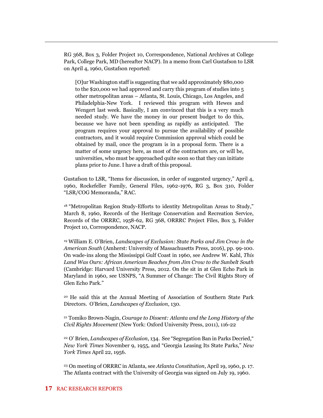RG 368, Box 3, Folder Project 10, Correspondence, National Archives at College Park, College Park, MD (hereafter NACP). In a memo from Carl Gustafson to LSR on April 4, 1960, Gustafson reported:

[O]ur Washington staff is suggesting that we add approximately \$80,000 to the \$20,000 we had approved and carry this program of studies into 5 other metropolitan areas – Atlanta, St. Louis, Chicago, Los Angeles, and Philadelphia-New York. I reviewed this program with Hewes and Wengert last week. Basically, I am convinced that this is a very much needed study. We have the money in our present budget to do this, because we have not been spending as rapidly as anticipated. The program requires your approval to pursue the availability of possible contractors, and it would require Commission approval which could be obtained by mail, once the program is in a proposal form. There is a matter of some urgency here, as most of the contractors are, or will be, universities, who must be approached quite soon so that they can initiate plans prior to June. I have a draft of this proposal.

Gustafson to LSR, "Items for discussion, in order of suggested urgency," April 4, 1960, Rockefeller Family, General Files, 1962-1976, RG 3, Box 310, Folder "LSR/COG Memoranda," RAC.

<sup>18</sup> "Metropolitan Region Study-Efforts to identity Metropolitan Areas to Study," March 8, 1960, Records of the Heritage Conservation and Recreation Service, Records of the ORRRC, 1958-62, RG 368, ORRRC Project Files, Box 3, Folder Project 10, Correspondence, NACP.

<sup>19</sup> William E. O'Brien, *Landscapes of Exclusion: State Parks and Jim Crow in the American South* (Amherst: University of Massachusetts Press, 2016), pp. 99-100. On wade-ins along the Mississippi Gulf Coast in 1960, see Andrew W. Kahl, *This Land Was Ours: African American Beaches from Jim Crow to the Sunbelt South* (Cambridge: Harvard University Press, 2012. On the sit in at Glen Echo Park in Maryland in 1960, see USNPS, "A Summer of Change: The Civil Rights Story of Glen Echo Park."

<sup>20</sup> He said this at the Annual Meeting of Association of Southern State Park Directors. O'Brien, *Landscapes of Exclusion*, 130.

<sup>21</sup> Tomiko Brown-Nagin, *Courage to Dissent: Atlanta and the Long History of the Civil Rights Movement* (New York: Oxford University Press, 2011), 116-22

<sup>22</sup> O' Brien, *Landscapes of Exclusion*, 134. See "Segregation Ban in Parks Decried," *New York Times* November 9, 1955, and "Georgia Leasing Its State Parks," *New York Times* April 22, 1956.

<sup>23</sup> On meeting of ORRRC in Atlanta, see *Atlanta Constitution*, April 19, 1960, p. 17. The Atlanta contract with the University of Georgia was signed on July 19, 1960.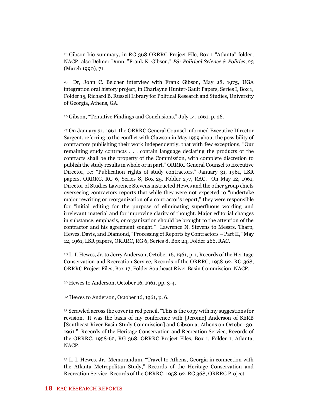<sup>24</sup> Gibson bio summary, in RG 368 ORRRC Project File, Box 1 "Atlanta" folder, NACP; also Delmer Dunn, "Frank K. Gibson," *PS: Political Science & Politics*, 23 (March 1990), 71.

<sup>25</sup> Dr, John C. Belcher interview with Frank Gibson, May 28, 1975, UGA integration oral history project, in Charlayne Hunter-Gault Papers, Series I, Box 1, Folder 15, Richard B. Russell Library for Political Research and Studies, University of Georgia, Athens, GA.

<sup>26</sup> Gibson, "Tentative Findings and Conclusions," July 14, 1961, p. 26.

<sup>27</sup> On January 31, 1961, the ORRRC General Counsel informed Executive Director Sargent, referring to the conflict with Clawson in May 1959 about the possibility of contractors publishing their work independently, that with few exceptions, "Our remaining study contracts . . . contain language declaring the products of the contracts shall be the property of the Commission, with complete discretion to publish the study results in whole or in part." ORRRC General Counsel to Executive Director, re: "Publication rights of study contractors," January 31, 1961, LSR papers, ORRRC, RG 6, Series 8, Box 25, Folder 277, RAC. On May 12, 1961, Director of Studies Lawrence Stevens instructed Hewes and the other group chiefs overseeing contractors reports that while they were not expected to "undertake major rewriting or reorganization of a contractor's report," they were responsible for "initial editing for the purpose of eliminating superfluous wording and irrelevant material and for improving clarity of thought. Major editorial changes in substance, emphasis, or organization should be brought to the attention of the contractor and his agreement sought." Lawrence N. Stevens to Messrs. Tharp, Hewes, Davis, and Diamond, "Processing of Reports by Contractors – Part II," May 12, 1961, LSR papers, ORRRC, RG 6, Series 8, Box 24, Folder 266, RAC.

<sup>28</sup> L. I. Hewes, Jr. to Jerry Anderson, October 16, 1961, p. 1, Records of the Heritage Conservation and Recreation Service, Records of the ORRRC, 1958-62, RG 368, ORRRC Project Files, Box 17, Folder Southeast River Basin Commission, NACP.

<sup>29</sup> Hewes to Anderson, October 16, 1961, pp. 3-4.

<sup>30</sup> Hewes to Anderson, October 16, 1961, p. 6.

<sup>31</sup> Scrawled across the cover in red pencil, "This is the copy with my suggestions for revision. It was the basis of my conference with [Jerome] Anderson of SERB [Southeast River Basin Study Commission] and Gibson at Athens on October 30, 1961." Records of the Heritage Conservation and Recreation Service, Records of the ORRRC, 1958-62, RG 368, ORRRC Project Files, Box 1, Folder 1, Atlanta, NACP.

<sup>32</sup> L. I. Hewes, Jr., Memorandum, "Travel to Athens, Georgia in connection with the Atlanta Metropolitan Study," Records of the Heritage Conservation and Recreation Service, Records of the ORRRC, 1958-62, RG 368, ORRRC Project